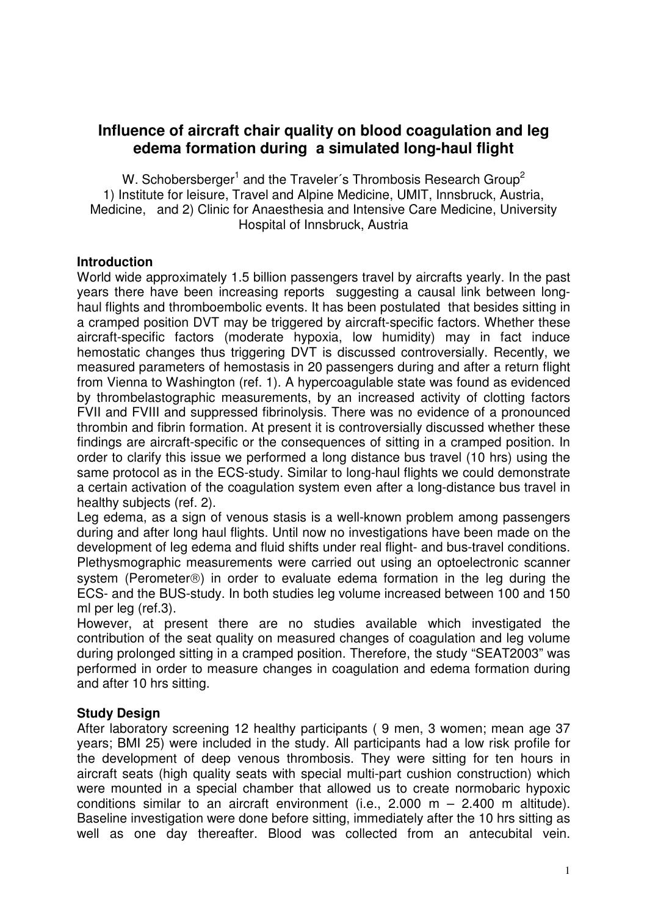# **Influence of aircraft chair quality on blood coagulation and leg edema formation during a simulated long-haul flight**

W. Schobersberger<sup>1</sup> and the Traveler's Thrombosis Research Group<sup>2</sup> 1) Institute for leisure, Travel and Alpine Medicine, UMIT, Innsbruck, Austria, Medicine, and 2) Clinic for Anaesthesia and Intensive Care Medicine, University Hospital of Innsbruck, Austria

### **Introduction**

World wide approximately 1.5 billion passengers travel by aircrafts yearly. In the past years there have been increasing reports suggesting a causal link between longhaul flights and thromboembolic events. It has been postulated that besides sitting in a cramped position DVT may be triggered by aircraft-specific factors. Whether these aircraft-specific factors (moderate hypoxia, low humidity) may in fact induce hemostatic changes thus triggering DVT is discussed controversially. Recently, we measured parameters of hemostasis in 20 passengers during and after a return flight from Vienna to Washington (ref. 1). A hypercoagulable state was found as evidenced by thrombelastographic measurements, by an increased activity of clotting factors FVII and FVIII and suppressed fibrinolysis. There was no evidence of a pronounced thrombin and fibrin formation. At present it is controversially discussed whether these findings are aircraft-specific or the consequences of sitting in a cramped position. In order to clarify this issue we performed a long distance bus travel (10 hrs) using the same protocol as in the ECS-study. Similar to long-haul flights we could demonstrate a certain activation of the coagulation system even after a long-distance bus travel in healthy subjects (ref. 2).

Leg edema, as a sign of venous stasis is a well-known problem among passengers during and after long haul flights. Until now no investigations have been made on the development of leg edema and fluid shifts under real flight- and bus-travel conditions. Plethysmographic measurements were carried out using an optoelectronic scanner system (Perometer®) in order to evaluate edema formation in the leg during the ECS- and the BUS-study. In both studies leg volume increased between 100 and 150 ml per leg (ref.3).

However, at present there are no studies available which investigated the contribution of the seat quality on measured changes of coagulation and leg volume during prolonged sitting in a cramped position. Therefore, the study "SEAT2003" was performed in order to measure changes in coagulation and edema formation during and after 10 hrs sitting.

## **Study Design**

After laboratory screening 12 healthy participants ( 9 men, 3 women; mean age 37 years; BMI 25) were included in the study. All participants had a low risk profile for the development of deep venous thrombosis. They were sitting for ten hours in aircraft seats (high quality seats with special multi-part cushion construction) which were mounted in a special chamber that allowed us to create normobaric hypoxic conditions similar to an aircraft environment (i.e.,  $2.000 \, \text{m} - 2.400 \, \text{m}$  altitude). Baseline investigation were done before sitting, immediately after the 10 hrs sitting as well as one day thereafter. Blood was collected from an antecubital vein.